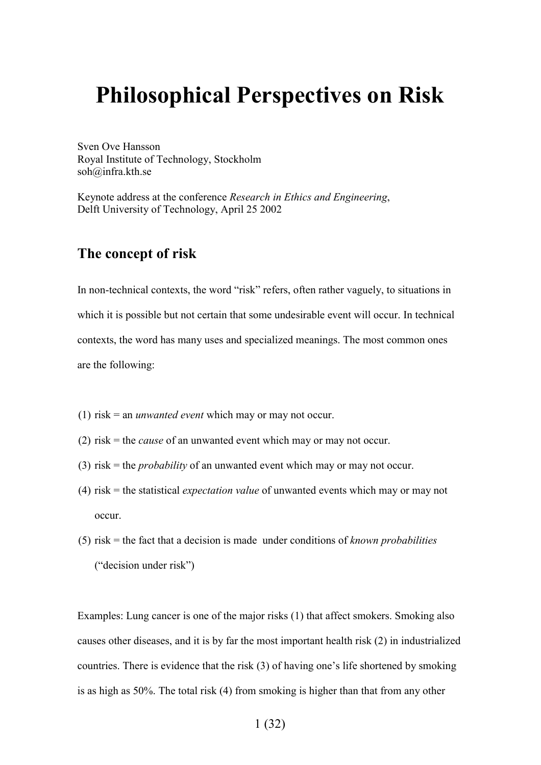# **Philosophical Perspectives on Risk**

Sven Ove Hansson Royal Institute of Technology, Stockholm soh@infra.kth.se

Keynote address at the conference *Research in Ethics and Engineering*, Delft University of Technology, April 25 2002

### **The concept of risk**

In non-technical contexts, the word "risk" refers, often rather vaguely, to situations in which it is possible but not certain that some undesirable event will occur. In technical contexts, the word has many uses and specialized meanings. The most common ones are the following:

- (1) risk = an *unwanted event* which may or may not occur.
- (2) risk = the *cause* of an unwanted event which may or may not occur.
- (3) risk = the *probability* of an unwanted event which may or may not occur.
- (4) risk = the statistical *expectation value* of unwanted events which may or may not occur.
- (5) risk = the fact that a decision is made under conditions of *known probabilities* ("decision under risk")

Examples: Lung cancer is one of the major risks (1) that affect smokers. Smoking also causes other diseases, and it is by far the most important health risk (2) in industrialized countries. There is evidence that the risk (3) of having one's life shortened by smoking is as high as 50%. The total risk (4) from smoking is higher than that from any other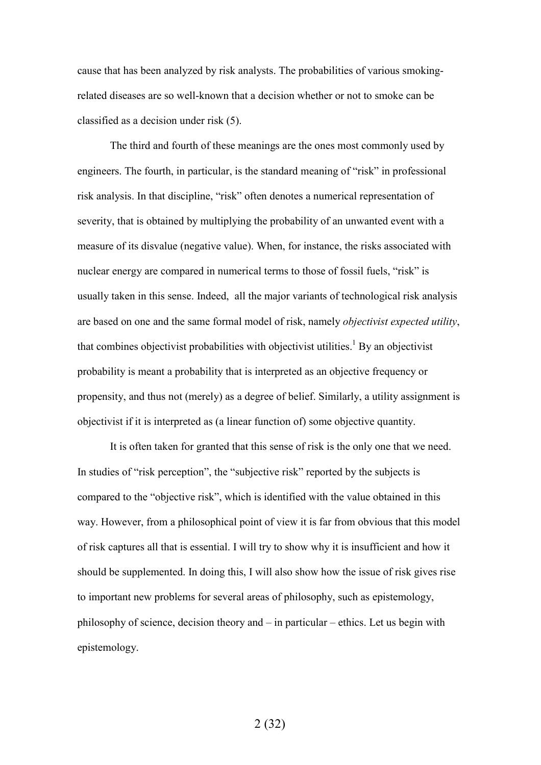cause that has been analyzed by risk analysts. The probabilities of various smokingrelated diseases are so well-known that a decision whether or not to smoke can be classified as a decision under risk (5).

The third and fourth of these meanings are the ones most commonly used by engineers. The fourth, in particular, is the standard meaning of "risk" in professional risk analysis. In that discipline, "risk" often denotes a numerical representation of severity, that is obtained by multiplying the probability of an unwanted event with a measure of its disvalue (negative value). When, for instance, the risks associated with nuclear energy are compared in numerical terms to those of fossil fuels, "risk" is usually taken in this sense. Indeed, all the major variants of technological risk analysis are based on one and the same formal model of risk, namely *objectivist expected utility*, thatcombines objectivist probabilities with objectivist utilities.<sup>1</sup> By an objectivist probability is meant a probability that is interpreted as an objective frequency or propensity, and thus not (merely) as a degree of belief. Similarly, a utility assignment is objectivist if it is interpreted as (a linear function of) some objective quantity.

It is often taken for granted that this sense of risk is the only one that we need. In studies of "risk perception", the "subjective risk" reported by the subjects is compared to the "objective risk", which is identified with the value obtained in this way. However, from a philosophical point of view it is far from obvious that this model of risk captures all that is essential. I will try to show why it is insufficient and how it should be supplemented. In doing this, I will also show how the issue of risk gives rise to important new problems for several areas of philosophy, such as epistemology, philosophy of science, decision theory and – in particular – ethics. Let us begin with epistemology.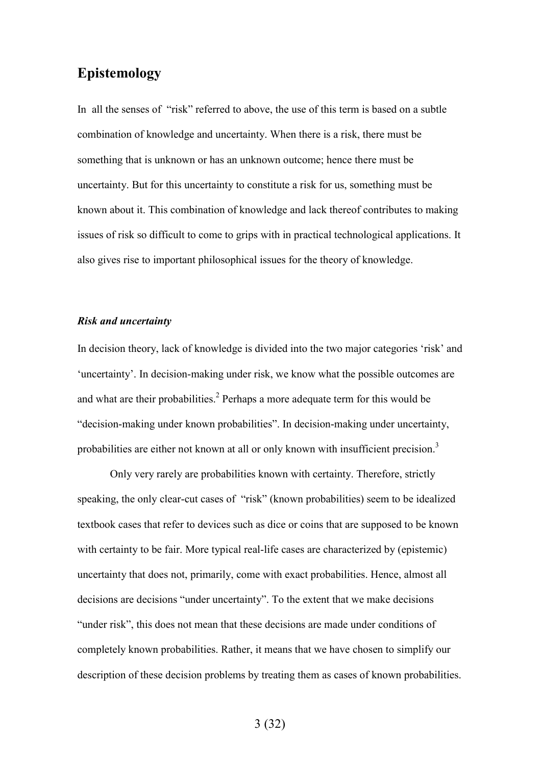# **Epistemology**

In all the senses of "risk" referred to above, the use of this term is based on a subtle combination of knowledge and uncertainty. When there is a risk, there must be something that is unknown or has an unknown outcome; hence there must be uncertainty. But for this uncertainty to constitute a risk for us, something must be known about it. This combination of knowledge and lack thereof contributes to making issues of risk so difficult to come to grips with in practical technological applications. It also gives rise to important philosophical issues for the theory of knowledge.

#### *Risk and uncertainty*

In decision theory, lack of knowledge is divided into the two major categories 'risk' and 'uncertainty'. In decision-making under risk, we know what the possible outcomes are andwhat are their probabilities.<sup>2</sup> Perhaps a more adequate term for this would be "decision-making under known probabilities". In decision-making under uncertainty, probabilities are either not known at all or only known with insufficient precision.<sup>[3](#page-31-2)</sup>

Only very rarely are probabilities known with certainty. Therefore, strictly speaking, the only clear-cut cases of "risk" (known probabilities) seem to be idealized textbook cases that refer to devices such as dice or coins that are supposed to be known with certainty to be fair. More typical real-life cases are characterized by (epistemic) uncertainty that does not, primarily, come with exact probabilities. Hence, almost all decisions are decisions "under uncertainty". To the extent that we make decisions "under risk", this does not mean that these decisions are made under conditions of completely known probabilities. Rather, it means that we have chosen to simplify our description of these decision problems by treating them as cases of known probabilities.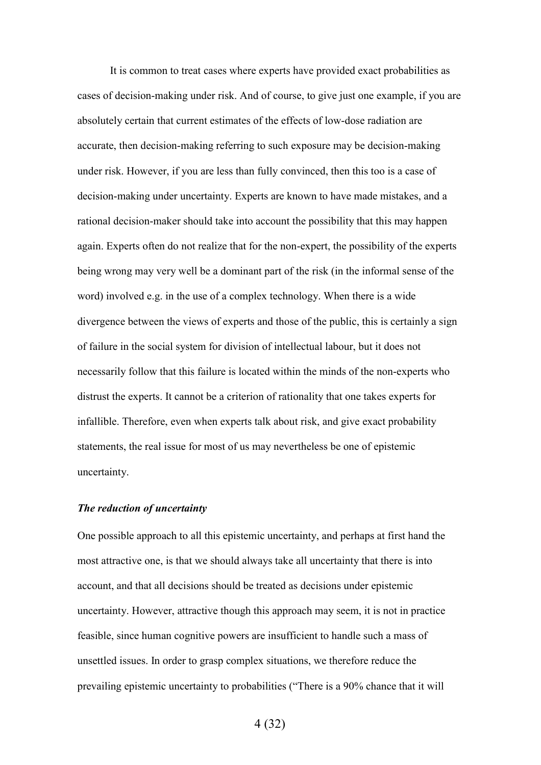It is common to treat cases where experts have provided exact probabilities as cases of decision-making under risk. And of course, to give just one example, if you are absolutely certain that current estimates of the effects of low-dose radiation are accurate, then decision-making referring to such exposure may be decision-making under risk. However, if you are less than fully convinced, then this too is a case of decision-making under uncertainty. Experts are known to have made mistakes, and a rational decision-maker should take into account the possibility that this may happen again. Experts often do not realize that for the non-expert, the possibility of the experts being wrong may very well be a dominant part of the risk (in the informal sense of the word) involved e.g. in the use of a complex technology. When there is a wide divergence between the views of experts and those of the public, this is certainly a sign of failure in the social system for division of intellectual labour, but it does not necessarily follow that this failure is located within the minds of the non-experts who distrust the experts. It cannot be a criterion of rationality that one takes experts for infallible. Therefore, even when experts talk about risk, and give exact probability statements, the real issue for most of us may nevertheless be one of epistemic uncertainty.

#### *The reduction of uncertainty*

One possible approach to all this epistemic uncertainty, and perhaps at first hand the most attractive one, is that we should always take all uncertainty that there is into account, and that all decisions should be treated as decisions under epistemic uncertainty. However, attractive though this approach may seem, it is not in practice feasible, since human cognitive powers are insufficient to handle such a mass of unsettled issues. In order to grasp complex situations, we therefore reduce the prevailing epistemic uncertainty to probabilities ("There is a 90% chance that it will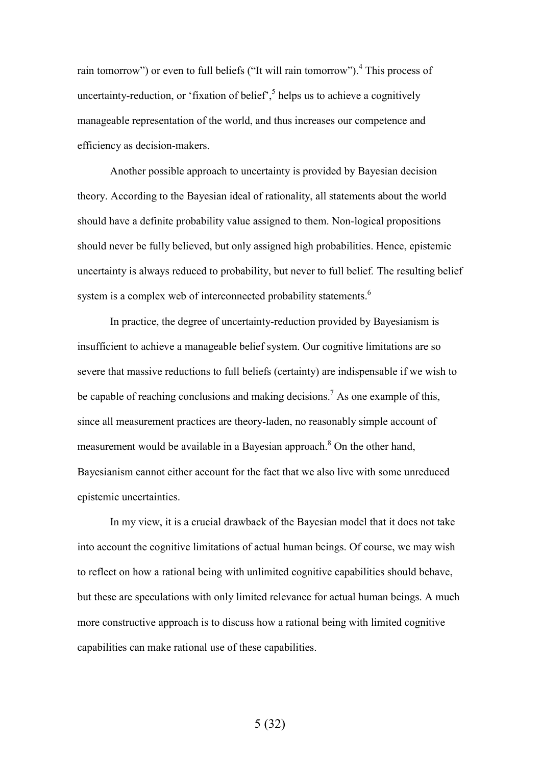raintomorrow") or even to full beliefs ("It will rain tomorrow").<sup>4</sup> This process of uncertainty-reduction, or 'fixation of belief',  $\frac{5}{3}$  $\frac{5}{3}$  $\frac{5}{3}$  helps us to achieve a cognitively manageable representation of the world, and thus increases our competence and efficiency as decision-makers.

Another possible approach to uncertainty is provided by Bayesian decision theory. According to the Bayesian ideal of rationality, all statements about the world should have a definite probability value assigned to them. Non-logical propositions should never be fully believed, but only assigned high probabilities. Hence, epistemic uncertainty is always reduced to probability, but never to full belief*.* The resulting belief system is a complex web of interconnected probability statements.<sup>6</sup>

In practice, the degree of uncertainty-reduction provided by Bayesianism is insufficient to achieve a manageable belief system. Our cognitive limitations are so severe that massive reductions to full beliefs (certainty) are indispensable if we wish to be capable of reaching conclusions and making decisions.<sup>7</sup> As one example of this, since all measurement practices are theory-laden, no reasonably simple account of measurementwould be available in a Bayesian approach.<sup>8</sup> On the other hand, Bayesianism cannot either account for the fact that we also live with some unreduced epistemic uncertainties.

In my view, it is a crucial drawback of the Bayesian model that it does not take into account the cognitive limitations of actual human beings. Of course, we may wish to reflect on how a rational being with unlimited cognitive capabilities should behave, but these are speculations with only limited relevance for actual human beings. A much more constructive approach is to discuss how a rational being with limited cognitive capabilities can make rational use of these capabilities.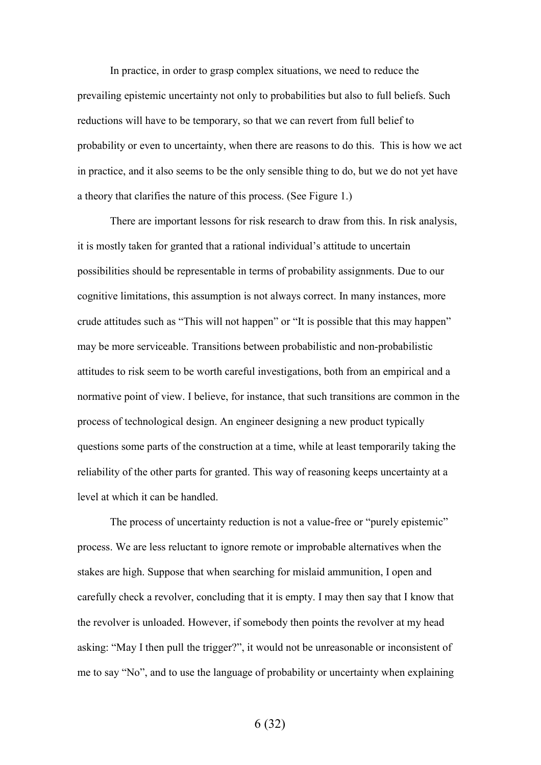In practice, in order to grasp complex situations, we need to reduce the prevailing epistemic uncertainty not only to probabilities but also to full beliefs. Such reductions will have to be temporary, so that we can revert from full belief to probability or even to uncertainty, when there are reasons to do this. This is how we act in practice, and it also seems to be the only sensible thing to do, but we do not yet have a theory that clarifies the nature of this process. (See Figure 1.)

There are important lessons for risk research to draw from this. In risk analysis, it is mostly taken for granted that a rational individual's attitude to uncertain possibilities should be representable in terms of probability assignments. Due to our cognitive limitations, this assumption is not always correct. In many instances, more crude attitudes such as "This will not happen" or "It is possible that this may happen" may be more serviceable. Transitions between probabilistic and non-probabilistic attitudes to risk seem to be worth careful investigations, both from an empirical and a normative point of view. I believe, for instance, that such transitions are common in the process of technological design. An engineer designing a new product typically questions some parts of the construction at a time, while at least temporarily taking the reliability of the other parts for granted. This way of reasoning keeps uncertainty at a level at which it can be handled.

The process of uncertainty reduction is not a value-free or "purely epistemic" process. We are less reluctant to ignore remote or improbable alternatives when the stakes are high. Suppose that when searching for mislaid ammunition, I open and carefully check a revolver, concluding that it is empty. I may then say that I know that the revolver is unloaded. However, if somebody then points the revolver at my head asking: "May I then pull the trigger?", it would not be unreasonable or inconsistent of me to say "No", and to use the language of probability or uncertainty when explaining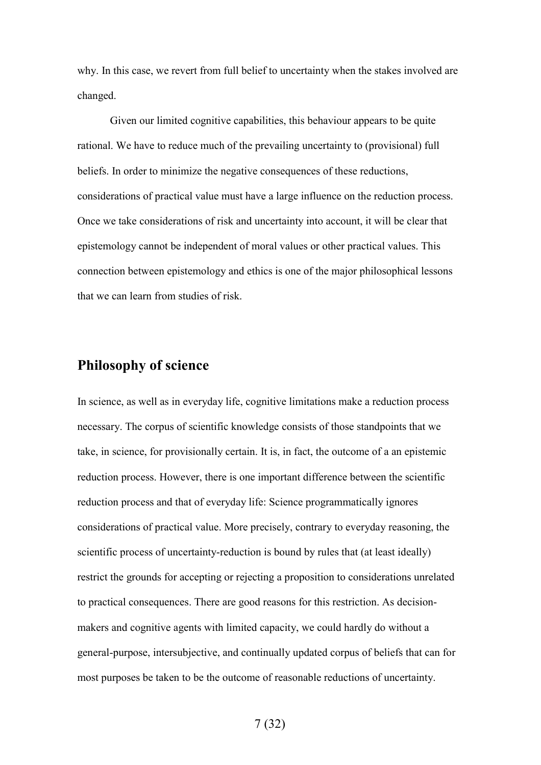why. In this case, we revert from full belief to uncertainty when the stakes involved are changed.

Given our limited cognitive capabilities, this behaviour appears to be quite rational. We have to reduce much of the prevailing uncertainty to (provisional) full beliefs. In order to minimize the negative consequences of these reductions, considerations of practical value must have a large influence on the reduction process. Once we take considerations of risk and uncertainty into account, it will be clear that epistemology cannot be independent of moral values or other practical values. This connection between epistemology and ethics is one of the major philosophical lessons that we can learn from studies of risk.

# **Philosophy of science**

In science, as well as in everyday life, cognitive limitations make a reduction process necessary. The corpus of scientific knowledge consists of those standpoints that we take, in science, for provisionally certain. It is, in fact, the outcome of a an epistemic reduction process. However, there is one important difference between the scientific reduction process and that of everyday life: Science programmatically ignores considerations of practical value. More precisely, contrary to everyday reasoning, the scientific process of uncertainty-reduction is bound by rules that (at least ideally) restrict the grounds for accepting or rejecting a proposition to considerations unrelated to practical consequences. There are good reasons for this restriction. As decisionmakers and cognitive agents with limited capacity, we could hardly do without a general-purpose, intersubjective, and continually updated corpus of beliefs that can for most purposes be taken to be the outcome of reasonable reductions of uncertainty.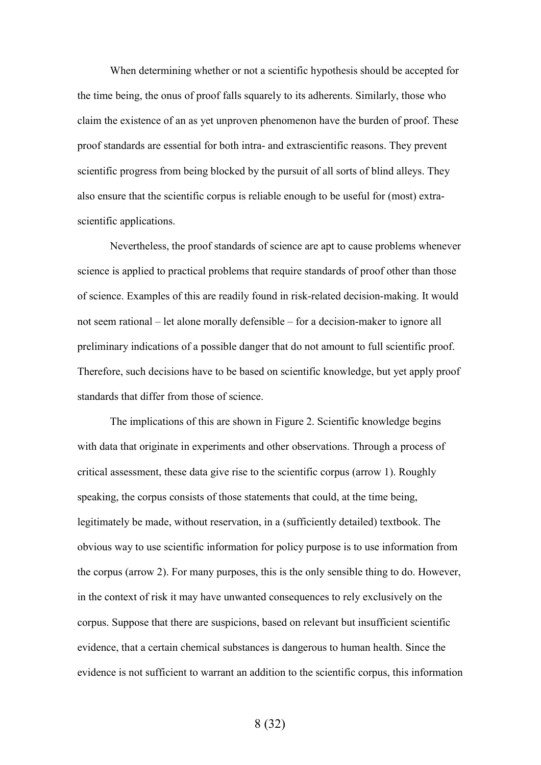When determining whether or not a scientific hypothesis should be accepted for the time being, the onus of proof falls squarely to its adherents. Similarly, those who claim the existence of an as yet unproven phenomenon have the burden of proof. These proof standards are essential for both intra- and extrascientific reasons. They prevent scientific progress from being blocked by the pursuit of all sorts of blind alleys. They also ensure that the scientific corpus is reliable enough to be useful for (most) extrascientific applications.

Nevertheless, the proof standards of science are apt to cause problems whenever science is applied to practical problems that require standards of proof other than those of science. Examples of this are readily found in risk-related decision-making. It would not seem rational – let alone morally defensible – for a decision-maker to ignore all preliminary indications of a possible danger that do not amount to full scientific proof. Therefore, such decisions have to be based on scientific knowledge, but yet apply proof standards that differ from those of science.

The implications of this are shown in Figure 2. Scientific knowledge begins with data that originate in experiments and other observations. Through a process of critical assessment, these data give rise to the scientific corpus (arrow 1). Roughly speaking, the corpus consists of those statements that could, at the time being, legitimately be made, without reservation, in a (sufficiently detailed) textbook. The obvious way to use scientific information for policy purpose is to use information from the corpus (arrow 2). For many purposes, this is the only sensible thing to do. However, in the context of risk it may have unwanted consequences to rely exclusively on the corpus. Suppose that there are suspicions, based on relevant but insufficient scientific evidence, that a certain chemical substances is dangerous to human health. Since the evidence is not sufficient to warrant an addition to the scientific corpus, this information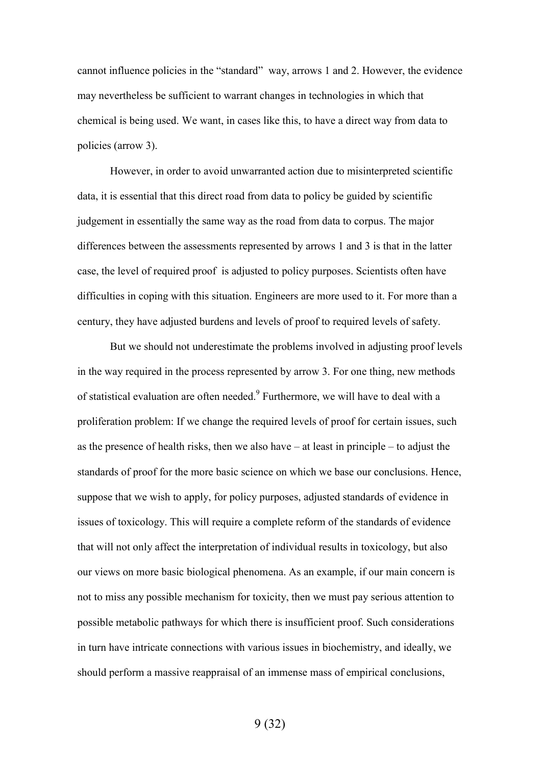cannot influence policies in the "standard" way, arrows 1 and 2. However, the evidence may nevertheless be sufficient to warrant changes in technologies in which that chemical is being used. We want, in cases like this, to have a direct way from data to policies (arrow 3).

However, in order to avoid unwarranted action due to misinterpreted scientific data, it is essential that this direct road from data to policy be guided by scientific judgement in essentially the same way as the road from data to corpus. The major differences between the assessments represented by arrows 1 and 3 is that in the latter case, the level of required proof is adjusted to policy purposes. Scientists often have difficulties in coping with this situation. Engineers are more used to it. For more than a century, they have adjusted burdens and levels of proof to required levels of safety.

But we should not underestimate the problems involved in adjusting proof levels in the way required in the process represented by arrow 3. For one thing, new methods ofstatistical evaluation are often needed.<sup>9</sup> Furthermore, we will have to deal with a proliferation problem: If we change the required levels of proof for certain issues, such as the presence of health risks, then we also have – at least in principle – to adjust the standards of proof for the more basic science on which we base our conclusions. Hence, suppose that we wish to apply, for policy purposes, adjusted standards of evidence in issues of toxicology. This will require a complete reform of the standards of evidence that will not only affect the interpretation of individual results in toxicology, but also our views on more basic biological phenomena. As an example, if our main concern is not to miss any possible mechanism for toxicity, then we must pay serious attention to possible metabolic pathways for which there is insufficient proof. Such considerations in turn have intricate connections with various issues in biochemistry, and ideally, we should perform a massive reappraisal of an immense mass of empirical conclusions,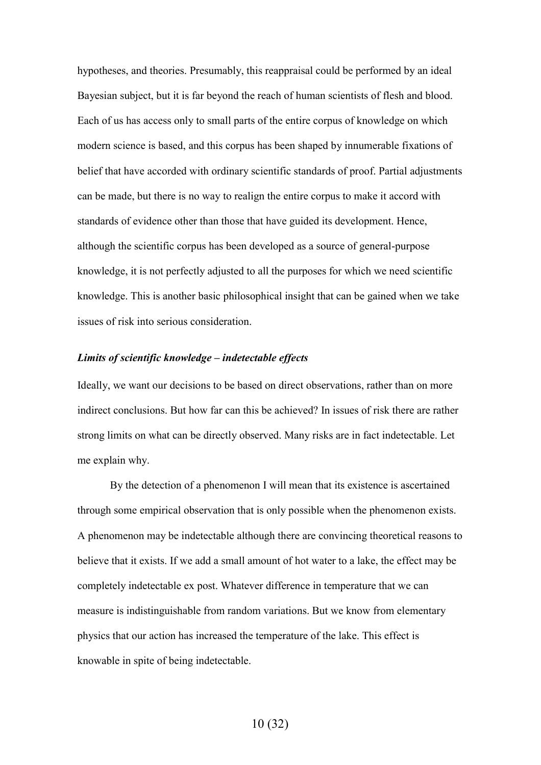hypotheses, and theories. Presumably, this reappraisal could be performed by an ideal Bayesian subject, but it is far beyond the reach of human scientists of flesh and blood. Each of us has access only to small parts of the entire corpus of knowledge on which modern science is based, and this corpus has been shaped by innumerable fixations of belief that have accorded with ordinary scientific standards of proof. Partial adjustments can be made, but there is no way to realign the entire corpus to make it accord with standards of evidence other than those that have guided its development. Hence, although the scientific corpus has been developed as a source of general-purpose knowledge, it is not perfectly adjusted to all the purposes for which we need scientific knowledge. This is another basic philosophical insight that can be gained when we take issues of risk into serious consideration.

#### *Limits of scientific knowledge – indetectable effects*

Ideally, we want our decisions to be based on direct observations, rather than on more indirect conclusions. But how far can this be achieved? In issues of risk there are rather strong limits on what can be directly observed. Many risks are in fact indetectable. Let me explain why.

By the detection of a phenomenon I will mean that its existence is ascertained through some empirical observation that is only possible when the phenomenon exists. A phenomenon may be indetectable although there are convincing theoretical reasons to believe that it exists. If we add a small amount of hot water to a lake, the effect may be completely indetectable ex post. Whatever difference in temperature that we can measure is indistinguishable from random variations. But we know from elementary physics that our action has increased the temperature of the lake. This effect is knowable in spite of being indetectable.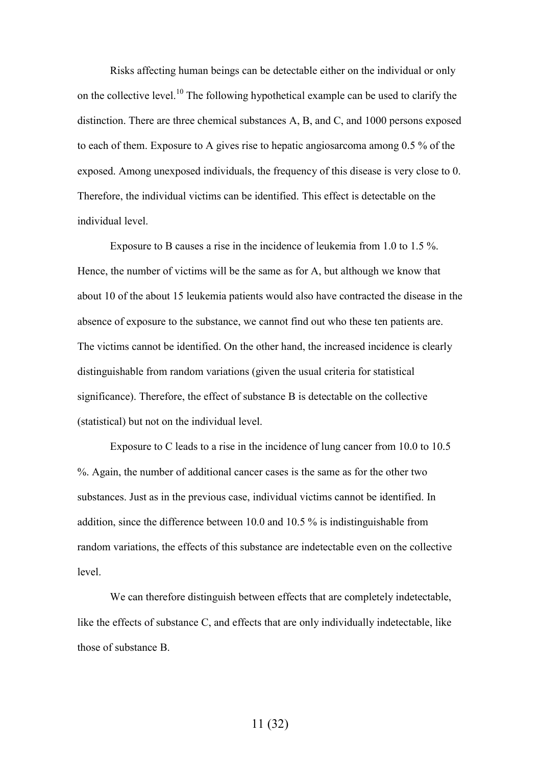Risks affecting human beings can be detectable either on the individual or only on the collective level.<sup>10</sup> The following hypothetical example can be used to clarify the distinction. There are three chemical substances A, B, and C, and 1000 persons exposed to each of them. Exposure to A gives rise to hepatic angiosarcoma among 0.5 % of the exposed. Among unexposed individuals, the frequency of this disease is very close to 0. Therefore, the individual victims can be identified. This effect is detectable on the individual level.

Exposure to B causes a rise in the incidence of leukemia from 1.0 to 1.5 %. Hence, the number of victims will be the same as for A, but although we know that about 10 of the about 15 leukemia patients would also have contracted the disease in the absence of exposure to the substance, we cannot find out who these ten patients are. The victims cannot be identified. On the other hand, the increased incidence is clearly distinguishable from random variations (given the usual criteria for statistical significance). Therefore, the effect of substance B is detectable on the collective (statistical) but not on the individual level.

Exposure to C leads to a rise in the incidence of lung cancer from 10.0 to 10.5 %. Again, the number of additional cancer cases is the same as for the other two substances. Just as in the previous case, individual victims cannot be identified. In addition, since the difference between 10.0 and 10.5 % is indistinguishable from random variations, the effects of this substance are indetectable even on the collective level.

We can therefore distinguish between effects that are completely indetectable, like the effects of substance C, and effects that are only individually indetectable, like those of substance B.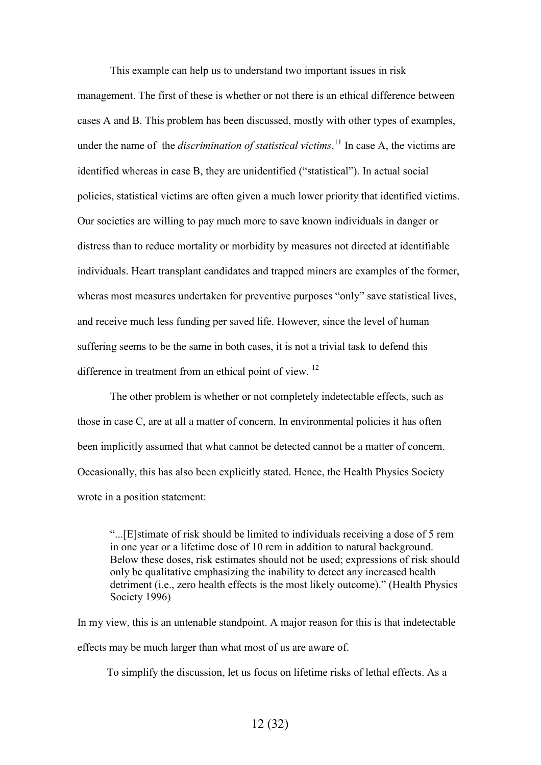This example can help us to understand two important issues in risk management. The first of these is whether or not there is an ethical difference between cases A and B. This problem has been discussed, mostly with other types of examples, under the name of the *discrimination of statistical victims*.<sup>[11](#page-31-8)</sup> In case A, the victims are identified whereas in case B, they are unidentified ("statistical"). In actual social policies, statistical victims are often given a much lower priority that identified victims. Our societies are willing to pay much more to save known individuals in danger or distress than to reduce mortality or morbidity by measures not directed at identifiable individuals. Heart transplant candidates and trapped miners are examples of the former, wheras most measures undertaken for preventive purposes "only" save statistical lives, and receive much less funding per saved life. However, since the level of human suffering seems to be the same in both cases, it is not a trivial task to defend this difference in treatment from an ethical point of view.  $12$ 

The other problem is whether or not completely indetectable effects, such as those in case C, are at all a matter of concern. In environmental policies it has often been implicitly assumed that what cannot be detected cannot be a matter of concern. Occasionally, this has also been explicitly stated. Hence, the Health Physics Society wrote in a position statement:

"...[E]stimate of risk should be limited to individuals receiving a dose of 5 rem in one year or a lifetime dose of 10 rem in addition to natural background. Below these doses, risk estimates should not be used; expressions of risk should only be qualitative emphasizing the inability to detect any increased health detriment (i.e., zero health effects is the most likely outcome)." (Health Physics Society 1996)

In my view, this is an untenable standpoint. A major reason for this is that indetectable effects may be much larger than what most of us are aware of.

To simplify the discussion, let us focus on lifetime risks of lethal effects. As a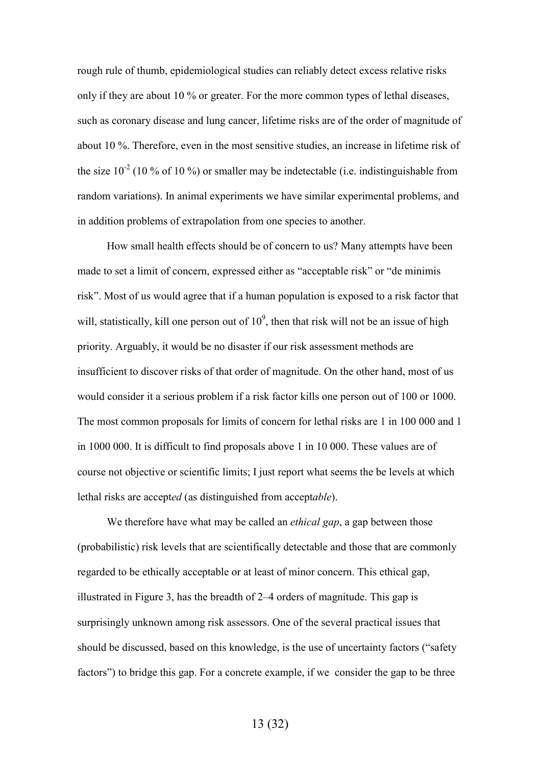rough rule of thumb, epidemiological studies can reliably detect excess relative risks only if they are about 10 % or greater. For the more common types of lethal diseases, such as coronary disease and lung cancer, lifetime risks are of the order of magnitude of about 10 %. Therefore, even in the most sensitive studies, an increase in lifetime risk of the size  $10^{-2}$  (10 % of 10 %) or smaller may be indetectable (i.e. indistinguishable from random variations). In animal experiments we have similar experimental problems, and in addition problems of extrapolation from one species to another.

How small health effects should be of concern to us? Many attempts have been made to set a limit of concern, expressed either as "acceptable risk" or "de minimis risk". Most of us would agree that if a human population is exposed to a risk factor that will, statistically, kill one person out of  $10^9$ , then that risk will not be an issue of high priority. Arguably, it would be no disaster if our risk assessment methods are insufficient to discover risks of that order of magnitude. On the other hand, most of us would consider it a serious problem if a risk factor kills one person out of 100 or 1000. The most common proposals for limits of concern for lethal risks are 1 in 100 000 and 1 in 1000 000. It is difficult to find proposals above 1 in 10 000. These values are of course not objective or scientific limits; I just report what seems the be levels at which lethal risks are accept*ed* (as distinguished from accept*able*).

We therefore have what may be called an *ethical gap*, a gap between those (probabilistic) risk levels that are scientifically detectable and those that are commonly regarded to be ethically acceptable or at least of minor concern. This ethical gap, illustrated in Figure 3, has the breadth of 2–4 orders of magnitude. This gap is surprisingly unknown among risk assessors. One of the several practical issues that should be discussed, based on this knowledge, is the use of uncertainty factors ("safety factors") to bridge this gap. For a concrete example, if we consider the gap to be three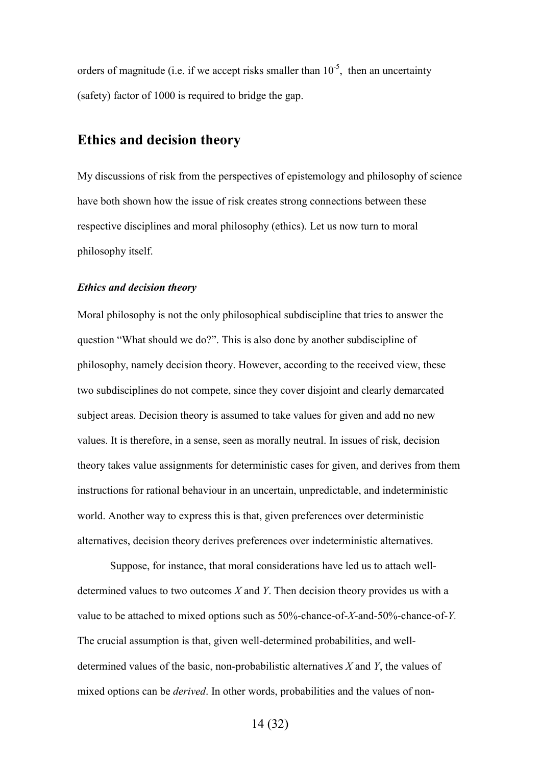orders of magnitude (i.e. if we accept risks smaller than  $10^{-5}$ , then an uncertainty (safety) factor of 1000 is required to bridge the gap.

# **Ethics and decision theory**

My discussions of risk from the perspectives of epistemology and philosophy of science have both shown how the issue of risk creates strong connections between these respective disciplines and moral philosophy (ethics). Let us now turn to moral philosophy itself.

#### *Ethics and decision theory*

Moral philosophy is not the only philosophical subdiscipline that tries to answer the question "What should we do?". This is also done by another subdiscipline of philosophy, namely decision theory. However, according to the received view, these two subdisciplines do not compete, since they cover disjoint and clearly demarcated subject areas. Decision theory is assumed to take values for given and add no new values. It is therefore, in a sense, seen as morally neutral. In issues of risk, decision theory takes value assignments for deterministic cases for given, and derives from them instructions for rational behaviour in an uncertain, unpredictable, and indeterministic world. Another way to express this is that, given preferences over deterministic alternatives, decision theory derives preferences over indeterministic alternatives.

Suppose, for instance, that moral considerations have led us to attach welldetermined values to two outcomes *X* and *Y*. Then decision theory provides us with a value to be attached to mixed options such as 50%-chance-of-*X*-and-50%-chance-of-*Y.* The crucial assumption is that, given well-determined probabilities, and welldetermined values of the basic, non-probabilistic alternatives *X* and *Y*, the values of mixed options can be *derived*. In other words, probabilities and the values of non-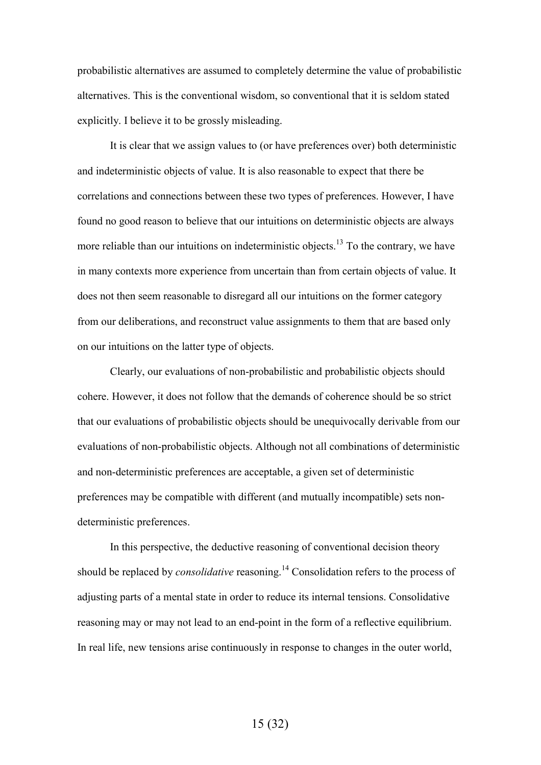probabilistic alternatives are assumed to completely determine the value of probabilistic alternatives. This is the conventional wisdom, so conventional that it is seldom stated explicitly. I believe it to be grossly misleading.

It is clear that we assign values to (or have preferences over) both deterministic and indeterministic objects of value. It is also reasonable to expect that there be correlations and connections between these two types of preferences. However, I have found no good reason to believe that our intuitions on deterministic objects are always more reliable than our intuitions on indeterministic objects.<sup>13</sup> To the contrary, we have in many contexts more experience from uncertain than from certain objects of value. It does not then seem reasonable to disregard all our intuitions on the former category from our deliberations, and reconstruct value assignments to them that are based only on our intuitions on the latter type of objects.

Clearly, our evaluations of non-probabilistic and probabilistic objects should cohere. However, it does not follow that the demands of coherence should be so strict that our evaluations of probabilistic objects should be unequivocally derivable from our evaluations of non-probabilistic objects. Although not all combinations of deterministic and non-deterministic preferences are acceptable, a given set of deterministic preferences may be compatible with different (and mutually incompatible) sets nondeterministic preferences.

In this perspective, the deductive reasoning of conventional decision theory should be replaced by *consolidative* reasoning. [14 C](#page-31-10)onsolidation refers to the process of adjusting parts of a mental state in order to reduce its internal tensions. Consolidative reasoning may or may not lead to an end-point in the form of a reflective equilibrium. In real life, new tensions arise continuously in response to changes in the outer world,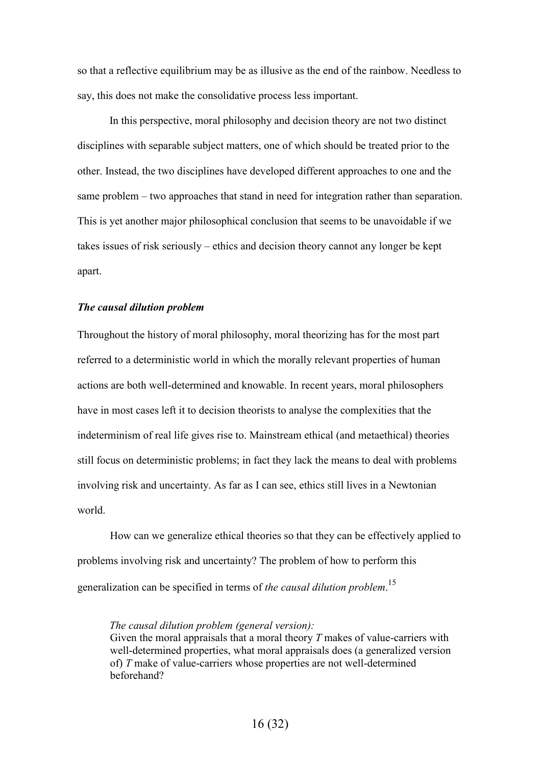so that a reflective equilibrium may be as illusive as the end of the rainbow. Needless to say, this does not make the consolidative process less important.

In this perspective, moral philosophy and decision theory are not two distinct disciplines with separable subject matters, one of which should be treated prior to the other. Instead, the two disciplines have developed different approaches to one and the same problem – two approaches that stand in need for integration rather than separation. This is yet another major philosophical conclusion that seems to be unavoidable if we takes issues of risk seriously – ethics and decision theory cannot any longer be kept apart.

#### *The causal dilution problem*

Throughout the history of moral philosophy, moral theorizing has for the most part referred to a deterministic world in which the morally relevant properties of human actions are both well-determined and knowable. In recent years, moral philosophers have in most cases left it to decision theorists to analyse the complexities that the indeterminism of real life gives rise to. Mainstream ethical (and metaethical) theories still focus on deterministic problems; in fact they lack the means to deal with problems involving risk and uncertainty. As far as I can see, ethics still lives in a Newtonian world.

How can we generalize ethical theories so that they can be effectively applied to problems involving risk and uncertainty? The problem of how to perform this generalization can be specified in terms of *the causal dilution problem*. [15](#page-31-11)

*The causal dilution problem (general version):* Given the moral appraisals that a moral theory *T* makes of value-carriers with well-determined properties, what moral appraisals does (a generalized version of) *T* make of value-carriers whose properties are not well-determined beforehand?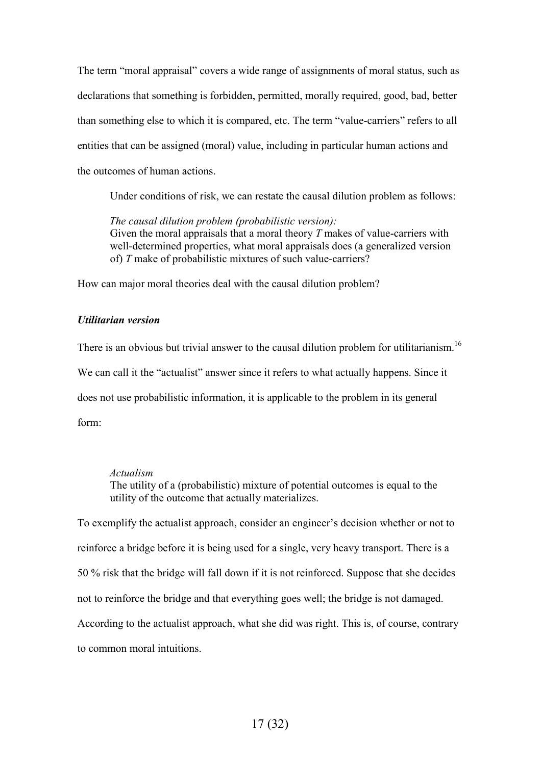The term "moral appraisal" covers a wide range of assignments of moral status, such as declarations that something is forbidden, permitted, morally required, good, bad, better than something else to which it is compared, etc. The term "value-carriers" refers to all entities that can be assigned (moral) value, including in particular human actions and the outcomes of human actions.

Under conditions of risk, we can restate the causal dilution problem as follows:

*The causal dilution problem (probabilistic version):*  Given the moral appraisals that a moral theory *T* makes of value-carriers with well-determined properties, what moral appraisals does (a generalized version of) *T* make of probabilistic mixtures of such value-carriers?

How can major moral theories deal with the causal dilution problem?

#### *Utilitarian version*

There is an obvious but trivial answer to the causal dilution problem for utilitarianism.<sup>[16](#page-31-12)</sup> We can call it the "actualist" answer since it refers to what actually happens. Since it does not use probabilistic information, it is applicable to the problem in its general form:

#### *Actualism*

The utility of a (probabilistic) mixture of potential outcomes is equal to the utility of the outcome that actually materializes.

To exemplify the actualist approach, consider an engineer's decision whether or not to reinforce a bridge before it is being used for a single, very heavy transport. There is a 50 % risk that the bridge will fall down if it is not reinforced. Suppose that she decides not to reinforce the bridge and that everything goes well; the bridge is not damaged. According to the actualist approach, what she did was right. This is, of course, contrary to common moral intuitions.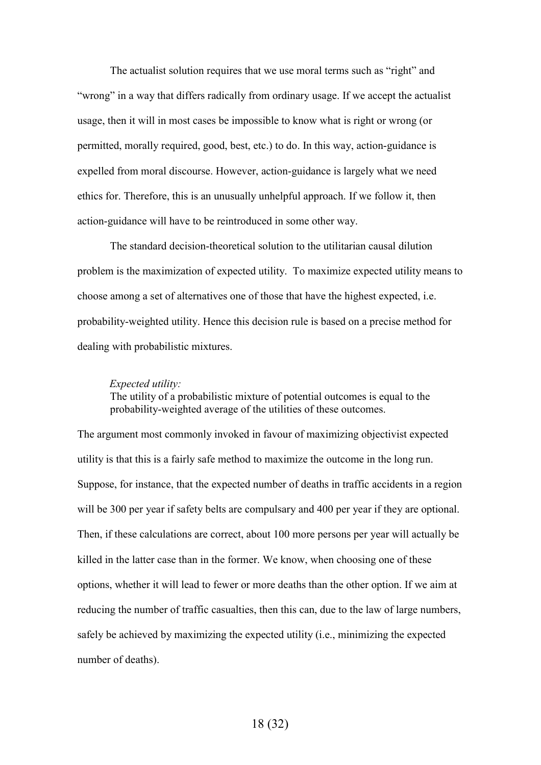The actualist solution requires that we use moral terms such as "right" and "wrong" in a way that differs radically from ordinary usage. If we accept the actualist usage, then it will in most cases be impossible to know what is right or wrong (or permitted, morally required, good, best, etc.) to do. In this way, action-guidance is expelled from moral discourse. However, action-guidance is largely what we need ethics for. Therefore, this is an unusually unhelpful approach. If we follow it, then action-guidance will have to be reintroduced in some other way.

The standard decision-theoretical solution to the utilitarian causal dilution problem is the maximization of expected utility. To maximize expected utility means to choose among a set of alternatives one of those that have the highest expected, i.e. probability-weighted utility. Hence this decision rule is based on a precise method for dealing with probabilistic mixtures.

*Expected utility:* The utility of a probabilistic mixture of potential outcomes is equal to the probability-weighted average of the utilities of these outcomes.

The argument most commonly invoked in favour of maximizing objectivist expected utility is that this is a fairly safe method to maximize the outcome in the long run. Suppose, for instance, that the expected number of deaths in traffic accidents in a region will be 300 per year if safety belts are compulsary and 400 per year if they are optional. Then, if these calculations are correct, about 100 more persons per year will actually be killed in the latter case than in the former. We know, when choosing one of these options, whether it will lead to fewer or more deaths than the other option. If we aim at reducing the number of traffic casualties, then this can, due to the law of large numbers, safely be achieved by maximizing the expected utility (i.e., minimizing the expected number of deaths).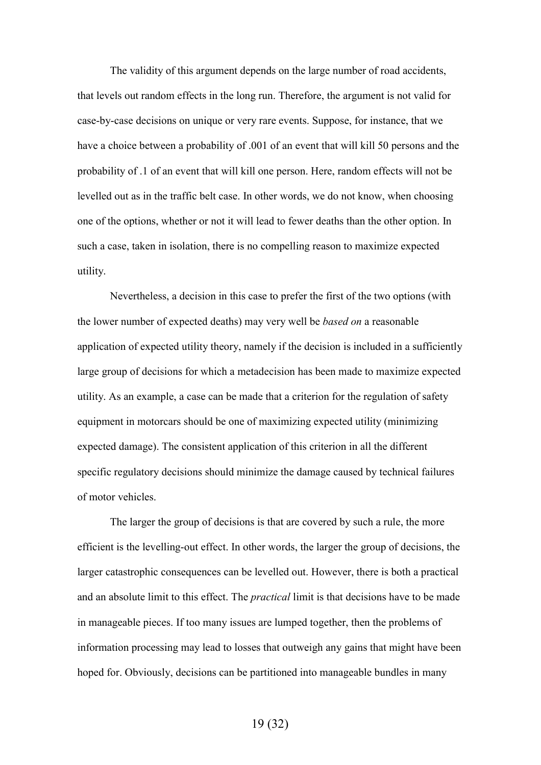The validity of this argument depends on the large number of road accidents, that levels out random effects in the long run. Therefore, the argument is not valid for case-by-case decisions on unique or very rare events. Suppose, for instance, that we have a choice between a probability of .001 of an event that will kill 50 persons and the probability of .1 of an event that will kill one person. Here, random effects will not be levelled out as in the traffic belt case. In other words, we do not know, when choosing one of the options, whether or not it will lead to fewer deaths than the other option. In such a case, taken in isolation, there is no compelling reason to maximize expected utility.

Nevertheless, a decision in this case to prefer the first of the two options (with the lower number of expected deaths) may very well be *based on* a reasonable application of expected utility theory, namely if the decision is included in a sufficiently large group of decisions for which a metadecision has been made to maximize expected utility. As an example, a case can be made that a criterion for the regulation of safety equipment in motorcars should be one of maximizing expected utility (minimizing expected damage). The consistent application of this criterion in all the different specific regulatory decisions should minimize the damage caused by technical failures of motor vehicles.

The larger the group of decisions is that are covered by such a rule, the more efficient is the levelling-out effect. In other words, the larger the group of decisions, the larger catastrophic consequences can be levelled out. However, there is both a practical and an absolute limit to this effect. The *practical* limit is that decisions have to be made in manageable pieces. If too many issues are lumped together, then the problems of information processing may lead to losses that outweigh any gains that might have been hoped for. Obviously, decisions can be partitioned into manageable bundles in many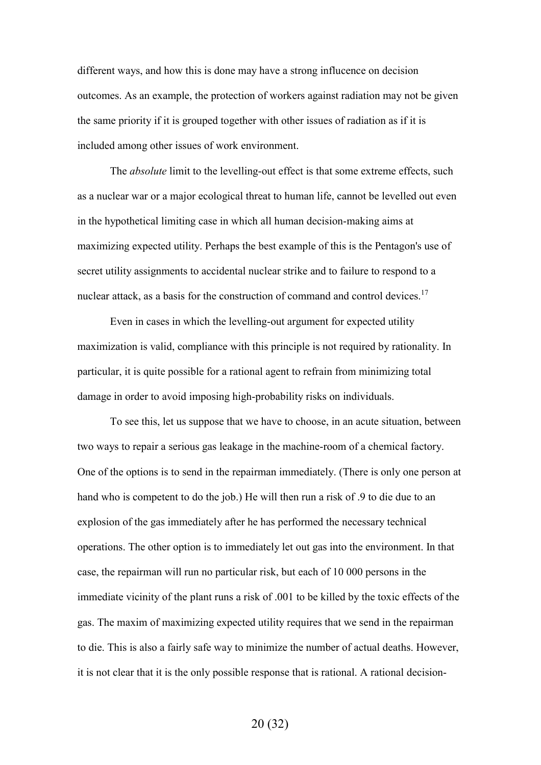different ways, and how this is done may have a strong influcence on decision outcomes. As an example, the protection of workers against radiation may not be given the same priority if it is grouped together with other issues of radiation as if it is included among other issues of work environment.

 The *absolute* limit to the levelling-out effect is that some extreme effects, such as a nuclear war or a major ecological threat to human life, cannot be levelled out even in the hypothetical limiting case in which all human decision-making aims at maximizing expected utility. Perhaps the best example of this is the Pentagon's use of secret utility assignments to accidental nuclear strike and to failure to respond to a nuclear attack, as a basis for the construction of command and control devices.<sup>17</sup>

Even in cases in which the levelling-out argument for expected utility maximization is valid, compliance with this principle is not required by rationality. In particular, it is quite possible for a rational agent to refrain from minimizing total damage in order to avoid imposing high-probability risks on individuals.

To see this, let us suppose that we have to choose, in an acute situation, between two ways to repair a serious gas leakage in the machine-room of a chemical factory. One of the options is to send in the repairman immediately. (There is only one person at hand who is competent to do the job.) He will then run a risk of .9 to die due to an explosion of the gas immediately after he has performed the necessary technical operations. The other option is to immediately let out gas into the environment. In that case, the repairman will run no particular risk, but each of 10 000 persons in the immediate vicinity of the plant runs a risk of .001 to be killed by the toxic effects of the gas. The maxim of maximizing expected utility requires that we send in the repairman to die. This is also a fairly safe way to minimize the number of actual deaths. However, it is not clear that it is the only possible response that is rational. A rational decision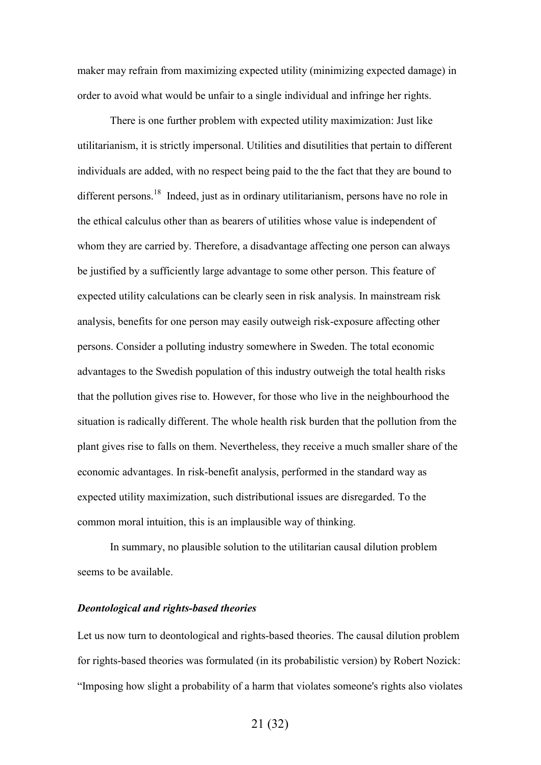maker may refrain from maximizing expected utility (minimizing expected damage) in order to avoid what would be unfair to a single individual and infringe her rights.

There is one further problem with expected utility maximization: Just like utilitarianism, it is strictly impersonal. Utilities and disutilities that pertain to different individuals are added, with no respect being paid to the the fact that they are bound to different persons.<sup>18</sup> Indeed, just as in ordinary utilitarianism, persons have no role in the ethical calculus other than as bearers of utilities whose value is independent of whom they are carried by. Therefore, a disadvantage affecting one person can always be justified by a sufficiently large advantage to some other person. This feature of expected utility calculations can be clearly seen in risk analysis. In mainstream risk analysis, benefits for one person may easily outweigh risk-exposure affecting other persons. Consider a polluting industry somewhere in Sweden. The total economic advantages to the Swedish population of this industry outweigh the total health risks that the pollution gives rise to. However, for those who live in the neighbourhood the situation is radically different. The whole health risk burden that the pollution from the plant gives rise to falls on them. Nevertheless, they receive a much smaller share of the economic advantages. In risk-benefit analysis, performed in the standard way as expected utility maximization, such distributional issues are disregarded. To the common moral intuition, this is an implausible way of thinking.

In summary, no plausible solution to the utilitarian causal dilution problem seems to be available.

#### *Deontological and rights-based theories*

Let us now turn to deontological and rights-based theories. The causal dilution problem for rights-based theories was formulated (in its probabilistic version) by Robert Nozick: "Imposing how slight a probability of a harm that violates someone's rights also violates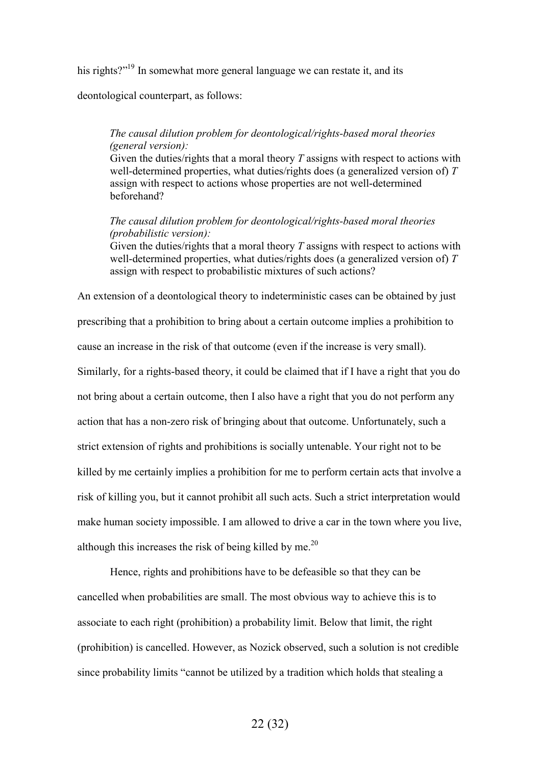his rights?"<sup>[19](#page-31-3)</sup> In somewhat more general language we can restate it, and its

deontological counterpart, as follows:

#### *The causal dilution problem for deontological/rights-based moral theories (general version):*

Given the duties/rights that a moral theory *T* assigns with respect to actions with well-determined properties, what duties/rights does (a generalized version of) *T* assign with respect to actions whose properties are not well-determined beforehand?

#### *The causal dilution problem for deontological/rights-based moral theories (probabilistic version):*

Given the duties/rights that a moral theory *T* assigns with respect to actions with well-determined properties, what duties/rights does (a generalized version of) *T* assign with respect to probabilistic mixtures of such actions?

An extension of a deontological theory to indeterministic cases can be obtained by just prescribing that a prohibition to bring about a certain outcome implies a prohibition to cause an increase in the risk of that outcome (even if the increase is very small). Similarly, for a rights-based theory, it could be claimed that if I have a right that you do not bring about a certain outcome, then I also have a right that you do not perform any action that has a non-zero risk of bringing about that outcome. Unfortunately, such a strict extension of rights and prohibitions is socially untenable. Your right not to be killed by me certainly implies a prohibition for me to perform certain acts that involve a risk of killing you, but it cannot prohibit all such acts. Such a strict interpretation would make human society impossible. I am allowed to drive a car in the town where you live, although this increases the risk of being killed by me.<sup>20</sup>

Hence, rights and prohibitions have to be defeasible so that they can be cancelled when probabilities are small. The most obvious way to achieve this is to associate to each right (prohibition) a probability limit. Below that limit, the right (prohibition) is cancelled. However, as Nozick observed, such a solution is not credible since probability limits "cannot be utilized by a tradition which holds that stealing a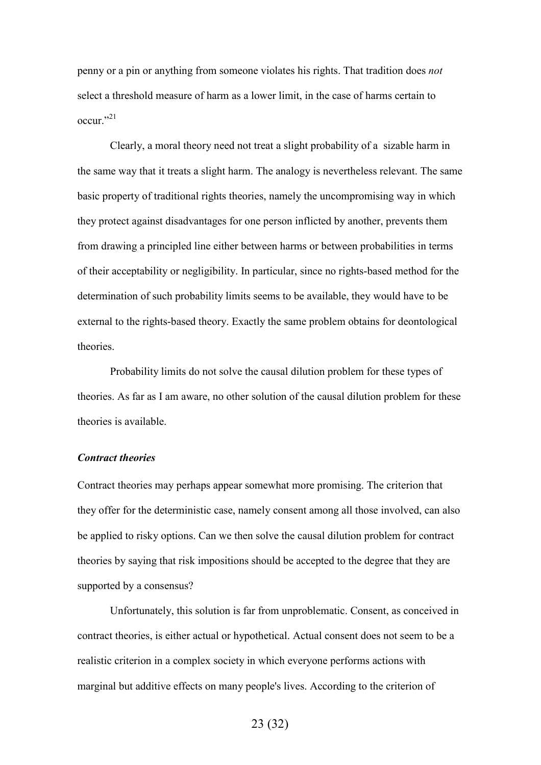penny or a pin or anything from someone violates his rights. That tradition does *not* select a threshold measure of harm as a lower limit, in the case of harms certain to  $\alpha$ ccur $^{21}$  $^{21}$  $^{21}$ 

Clearly, a moral theory need not treat a slight probability of a sizable harm in the same way that it treats a slight harm. The analogy is nevertheless relevant. The same basic property of traditional rights theories, namely the uncompromising way in which they protect against disadvantages for one person inflicted by another, prevents them from drawing a principled line either between harms or between probabilities in terms of their acceptability or negligibility. In particular, since no rights-based method for the determination of such probability limits seems to be available, they would have to be external to the rights-based theory. Exactly the same problem obtains for deontological theories.

Probability limits do not solve the causal dilution problem for these types of theories. As far as I am aware, no other solution of the causal dilution problem for these theories is available.

#### *Contract theories*

Contract theories may perhaps appear somewhat more promising. The criterion that they offer for the deterministic case, namely consent among all those involved, can also be applied to risky options. Can we then solve the causal dilution problem for contract theories by saying that risk impositions should be accepted to the degree that they are supported by a consensus?

Unfortunately, this solution is far from unproblematic. Consent, as conceived in contract theories, is either actual or hypothetical. Actual consent does not seem to be a realistic criterion in a complex society in which everyone performs actions with marginal but additive effects on many people's lives. According to the criterion of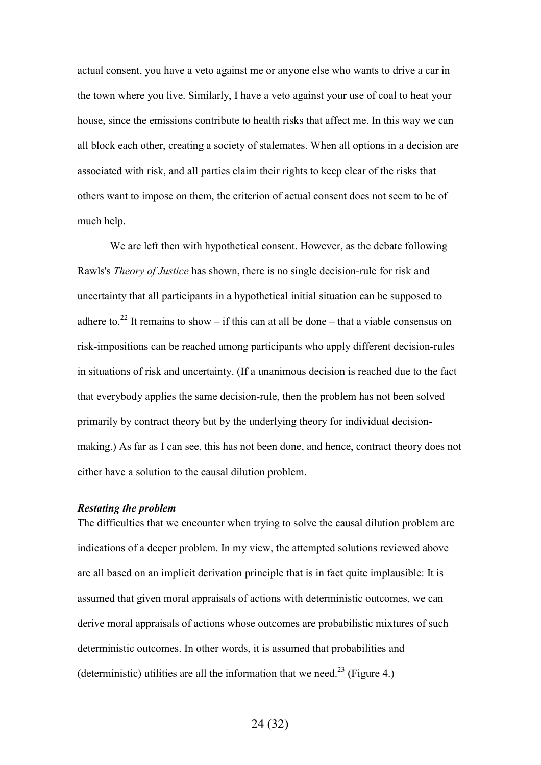actual consent, you have a veto against me or anyone else who wants to drive a car in the town where you live. Similarly, I have a veto against your use of coal to heat your house, since the emissions contribute to health risks that affect me. In this way we can all block each other, creating a society of stalemates. When all options in a decision are associated with risk, and all parties claim their rights to keep clear of the risks that others want to impose on them, the criterion of actual consent does not seem to be of much help.

We are left then with hypothetical consent. However, as the debate following Rawls's *Theory of Justice* has shown, there is no single decision-rule for risk and uncertainty that all participants in a hypothetical initial situation can be supposed to adhere to.<sup>[22](#page-31-5)</sup> It remains to show – if this can at all be done – that a viable consensus on risk-impositions can be reached among participants who apply different decision-rules in situations of risk and uncertainty. (If a unanimous decision is reached due to the fact that everybody applies the same decision-rule, then the problem has not been solved primarily by contract theory but by the underlying theory for individual decisionmaking.) As far as I can see, this has not been done, and hence, contract theory does not either have a solution to the causal dilution problem.

#### *Restating the problem*

The difficulties that we encounter when trying to solve the causal dilution problem are indications of a deeper problem. In my view, the attempted solutions reviewed above are all based on an implicit derivation principle that is in fact quite implausible: It is assumed that given moral appraisals of actions with deterministic outcomes, we can derive moral appraisals of actions whose outcomes are probabilistic mixtures of such deterministic outcomes. In other words, it is assumed that probabilities and (deterministic) utilities are all the information that we need.<sup>23</sup> (Figure 4.)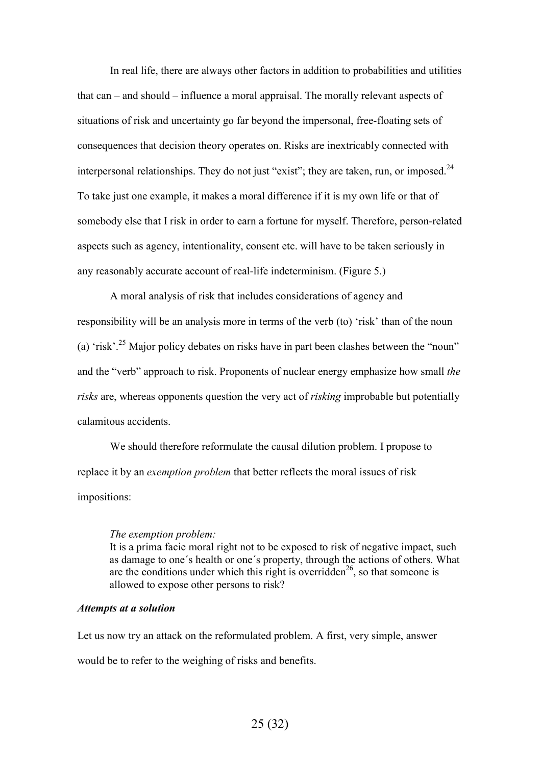In real life, there are always other factors in addition to probabilities and utilities that can – and should – influence a moral appraisal. The morally relevant aspects of situations of risk and uncertainty go far beyond the impersonal, free-floating sets of consequences that decision theory operates on. Risks are inextricably connected with interpersonal relationships. They do not just "exist"; they are taken, run, or imposed.<sup>24</sup> To take just one example, it makes a moral difference if it is my own life or that of somebody else that I risk in order to earn a fortune for myself. Therefore, person-related aspects such as agency, intentionality, consent etc. will have to be taken seriously in any reasonably accurate account of real-life indeterminism. (Figure 5.)

A moral analysis of risk that includes considerations of agency and responsibility will be an analysis more in terms of the verb (to) 'risk' than of the noun (a) 'risk'.<sup>25</sup> Major policy debates on risks have in part been clashes between the "noun" and the "verb" approach to risk. Proponents of nuclear energy emphasize how small *the risks* are, whereas opponents question the very act of *risking* improbable but potentially calamitous accidents.

We should therefore reformulate the causal dilution problem. I propose to replace it by an *exemption problem* that better reflects the moral issues of risk impositions:

#### *The exemption problem:*

It is a prima facie moral right not to be exposed to risk of negative impact, such as damage to one´s health or one´s property, through the actions of others. What are the conditions under which this right is overridden<sup>26</sup>, so that someone is allowed to expose other persons to risk?

#### *Attempts at a solution*

Let us now try an attack on the reformulated problem. A first, very simple, answer would be to refer to the weighing of risks and benefits.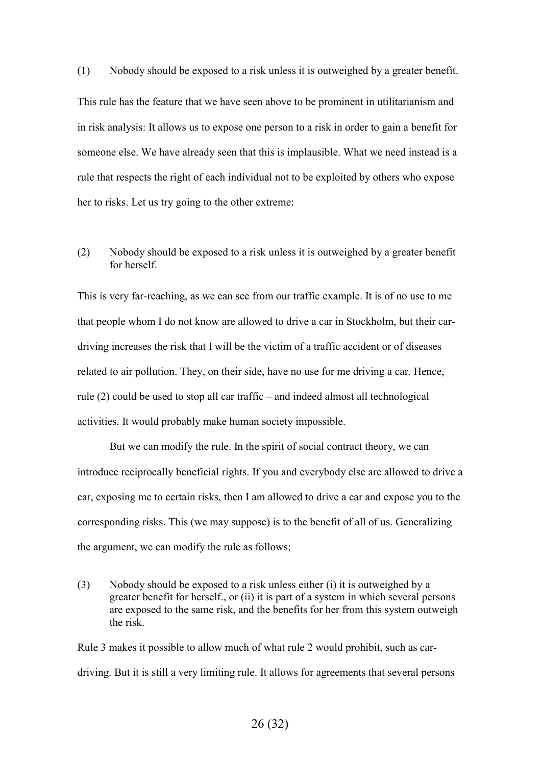(1) Nobody should be exposed to a risk unless it is outweighed by a greater benefit. This rule has the feature that we have seen above to be prominent in utilitarianism and in risk analysis: It allows us to expose one person to a risk in order to gain a benefit for someone else. We have already seen that this is implausible. What we need instead is a rule that respects the right of each individual not to be exploited by others who expose her to risks. Let us try going to the other extreme:

(2) Nobody should be exposed to a risk unless it is outweighed by a greater benefit for herself.

This is very far-reaching, as we can see from our traffic example. It is of no use to me that people whom I do not know are allowed to drive a car in Stockholm, but their cardriving increases the risk that I will be the victim of a traffic accident or of diseases related to air pollution. They, on their side, have no use for me driving a car. Hence, rule (2) could be used to stop all car traffic – and indeed almost all technological activities. It would probably make human society impossible.

But we can modify the rule. In the spirit of social contract theory, we can introduce reciprocally beneficial rights. If you and everybody else are allowed to drive a car, exposing me to certain risks, then I am allowed to drive a car and expose you to the corresponding risks. This (we may suppose) is to the benefit of all of us. Generalizing the argument, we can modify the rule as follows;

(3) Nobody should be exposed to a risk unless either (i) it is outweighed by a greater benefit for herself., or (ii) it is part of a system in which several persons are exposed to the same risk, and the benefits for her from this system outweigh the risk.

Rule 3 makes it possible to allow much of what rule 2 would prohibit, such as cardriving. But it is still a very limiting rule. It allows for agreements that several persons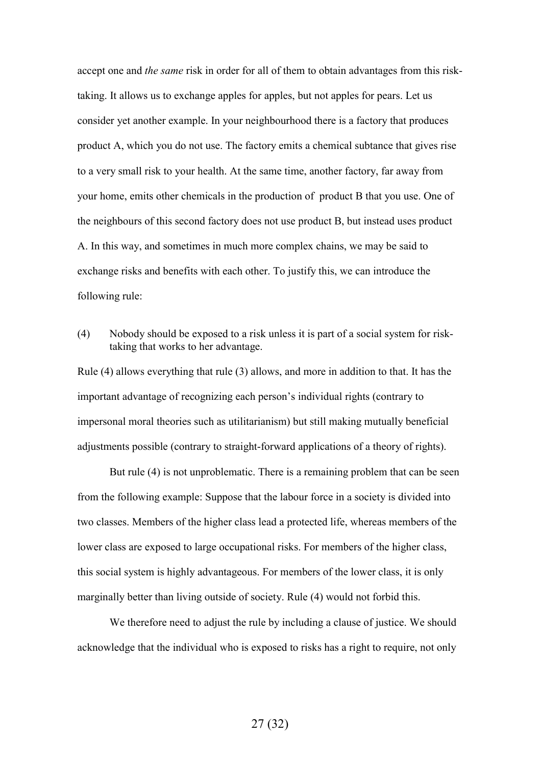accept one and *the same* risk in order for all of them to obtain advantages from this risktaking. It allows us to exchange apples for apples, but not apples for pears. Let us consider yet another example. In your neighbourhood there is a factory that produces product A, which you do not use. The factory emits a chemical subtance that gives rise to a very small risk to your health. At the same time, another factory, far away from your home, emits other chemicals in the production of product B that you use. One of the neighbours of this second factory does not use product B, but instead uses product A. In this way, and sometimes in much more complex chains, we may be said to exchange risks and benefits with each other. To justify this, we can introduce the following rule:

#### (4) Nobody should be exposed to a risk unless it is part of a social system for risktaking that works to her advantage.

Rule (4) allows everything that rule (3) allows, and more in addition to that. It has the important advantage of recognizing each person's individual rights (contrary to impersonal moral theories such as utilitarianism) but still making mutually beneficial adjustments possible (contrary to straight-forward applications of a theory of rights).

But rule (4) is not unproblematic. There is a remaining problem that can be seen from the following example: Suppose that the labour force in a society is divided into two classes. Members of the higher class lead a protected life, whereas members of the lower class are exposed to large occupational risks. For members of the higher class, this social system is highly advantageous. For members of the lower class, it is only marginally better than living outside of society. Rule (4) would not forbid this.

We therefore need to adjust the rule by including a clause of justice. We should acknowledge that the individual who is exposed to risks has a right to require, not only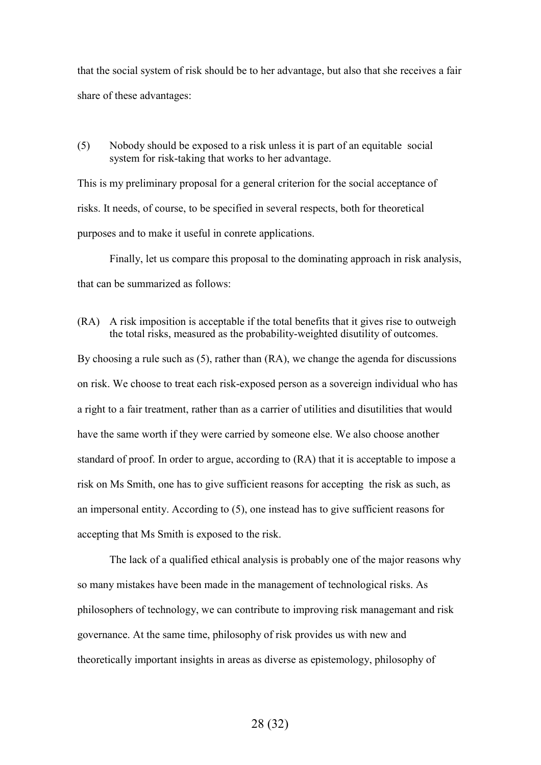that the social system of risk should be to her advantage, but also that she receives a fair share of these advantages:

#### (5) Nobody should be exposed to a risk unless it is part of an equitable social system for risk-taking that works to her advantage.

This is my preliminary proposal for a general criterion for the social acceptance of risks. It needs, of course, to be specified in several respects, both for theoretical purposes and to make it useful in conrete applications.

Finally, let us compare this proposal to the dominating approach in risk analysis, that can be summarized as follows:

(RA) A risk imposition is acceptable if the total benefits that it gives rise to outweigh the total risks, measured as the probability-weighted disutility of outcomes.

By choosing a rule such as (5), rather than (RA), we change the agenda for discussions on risk. We choose to treat each risk-exposed person as a sovereign individual who has a right to a fair treatment, rather than as a carrier of utilities and disutilities that would have the same worth if they were carried by someone else. We also choose another standard of proof. In order to argue, according to (RA) that it is acceptable to impose a risk on Ms Smith, one has to give sufficient reasons for accepting the risk as such, as an impersonal entity. According to (5), one instead has to give sufficient reasons for accepting that Ms Smith is exposed to the risk.

The lack of a qualified ethical analysis is probably one of the major reasons why so many mistakes have been made in the management of technological risks. As philosophers of technology, we can contribute to improving risk managemant and risk governance. At the same time, philosophy of risk provides us with new and theoretically important insights in areas as diverse as epistemology, philosophy of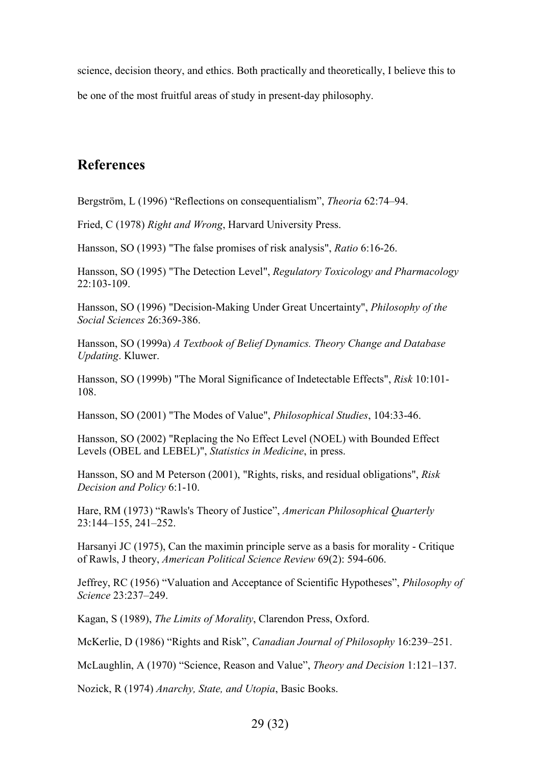science, decision theory, and ethics. Both practically and theoretically, I believe this to be one of the most fruitful areas of study in present-day philosophy.

# **References**

Bergström, L (1996) "Reflections on consequentialism", *Theoria* 62:74–94.

Fried, C (1978) *Right and Wrong*, Harvard University Press.

Hansson, SO (1993) "The false promises of risk analysis", *Ratio* 6:16-26.

Hansson, SO (1995) "The Detection Level", *Regulatory Toxicology and Pharmacology* 22:103-109.

Hansson, SO (1996) "Decision-Making Under Great Uncertainty", *Philosophy of the Social Sciences* 26:369-386.

Hansson, SO (1999a) *A Textbook of Belief Dynamics. Theory Change and Database Updating*. Kluwer.

Hansson, SO (1999b) "The Moral Significance of Indetectable Effects", *Risk* 10:101- 108.

Hansson, SO (2001) "The Modes of Value", *Philosophical Studies*, 104:33-46.

Hansson, SO (2002) "Replacing the No Effect Level (NOEL) with Bounded Effect Levels (OBEL and LEBEL)", *Statistics in Medicine*, in press.

Hansson, SO and M Peterson (2001), "Rights, risks, and residual obligations", *Risk Decision and Policy* 6:1-10.

Hare, RM (1973) "Rawls's Theory of Justice", *American Philosophical Quarterly* 23:144–155, 241–252.

Harsanyi JC (1975), Can the maximin principle serve as a basis for morality - Critique of Rawls, J theory, *American Political Science Review* 69(2): 594-606.

Jeffrey, RC (1956) "Valuation and Acceptance of Scientific Hypotheses", *Philosophy of Science* 23:237–249.

Kagan, S (1989), *The Limits of Morality*, Clarendon Press, Oxford.

McKerlie, D (1986) "Rights and Risk", *Canadian Journal of Philosophy* 16:239–251.

McLaughlin, A (1970) "Science, Reason and Value", *Theory and Decision* 1:121–137.

Nozick, R (1974) *Anarchy, State, and Utopia*, Basic Books.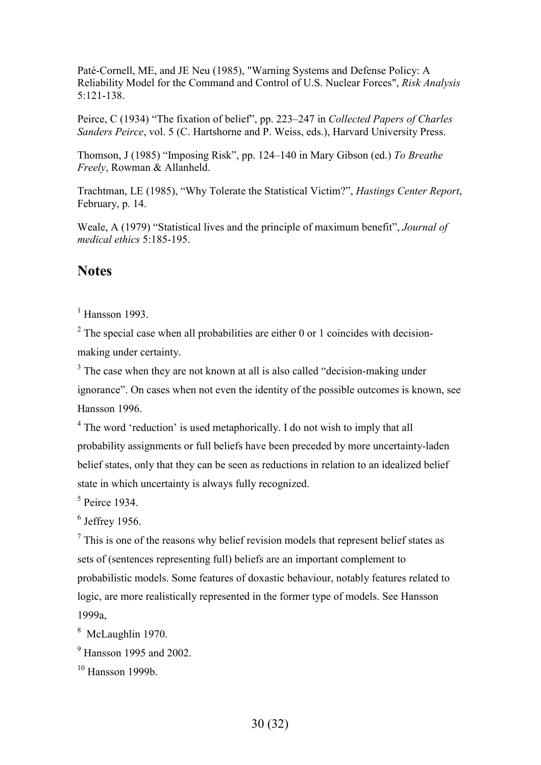Paté-Cornell, ME, and JE Neu (1985), "Warning Systems and Defense Policy: A Reliability Model for the Command and Control of U.S. Nuclear Forces", *Risk Analysis* 5:121-138.

Peirce, C (1934) "The fixation of belief", pp. 223–247 in *Collected Papers of Charles Sanders Peirce*, vol. 5 (C. Hartshorne and P. Weiss, eds.), Harvard University Press.

Thomson, J (1985) "Imposing Risk", pp. 124–140 in Mary Gibson (ed.) *To Breathe Freely*, Rowman & Allanheld.

Trachtman, LE (1985), "Why Tolerate the Statistical Victim?", *Hastings Center Report*, February, p. 14.

Weale, A (1979) "Statistical lives and the principle of maximum benefit", *Journal of medical ethics* 5:185-195.

# **Notes**

 $<sup>1</sup>$  Hansson 1993.</sup>

 $2$  The special case when all probabilities are either 0 or 1 coincides with decisionmaking under certainty.

 $3$  The case when they are not known at all is also called "decision-making under ignorance". On cases when not even the identity of the possible outcomes is known, see Hansson 1996.

<sup>4</sup> The word 'reduction' is used metaphorically. I do not wish to imply that all probability assignments or full beliefs have been preceded by more uncertainty-laden belief states, only that they can be seen as reductions in relation to an idealized belief state in which uncertainty is always fully recognized.

5 Peirce 1934.

 $<sup>6</sup>$  Jeffrey 1956.</sup>

 $<sup>7</sup>$  This is one of the reasons why belief revision models that represent belief states as</sup> sets of (sentences representing full) beliefs are an important complement to probabilistic models. Some features of doxastic behaviour, notably features related to logic, are more realistically represented in the former type of models. See Hansson 1999a,

<sup>8</sup> McLaughlin 1970.

<sup>9</sup> Hansson 1995 and 2002.

 $10$  Hansson 1999b.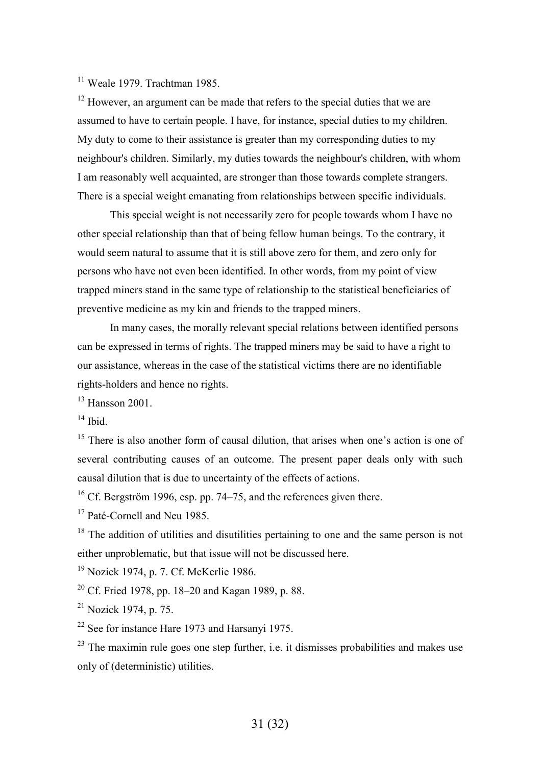#### $11$  Weale 1979. Trachtman 1985.

<sup>12</sup> However, an argument can be made that refers to the special duties that we are assumed to have to certain people. I have, for instance, special duties to my children. My duty to come to their assistance is greater than my corresponding duties to my neighbour's children. Similarly, my duties towards the neighbour's children, with whom I am reasonably well acquainted, are stronger than those towards complete strangers. There is a special weight emanating from relationships between specific individuals.

This special weight is not necessarily zero for people towards whom I have no other special relationship than that of being fellow human beings. To the contrary, it would seem natural to assume that it is still above zero for them, and zero only for persons who have not even been identified. In other words, from my point of view trapped miners stand in the same type of relationship to the statistical beneficiaries of preventive medicine as my kin and friends to the trapped miners.

In many cases, the morally relevant special relations between identified persons can be expressed in terms of rights. The trapped miners may be said to have a right to our assistance, whereas in the case of the statistical victims there are no identifiable rights-holders and hence no rights.

 $13$  Hansson 2001.

 $14$  Ibid.

<sup>15</sup> There is also another form of causal dilution, that arises when one's action is one of several contributing causes of an outcome. The present paper deals only with such causal dilution that is due to uncertainty of the effects of actions.

<sup>16</sup> Cf. Bergström 1996, esp. pp. 74–75, and the references given there.

<sup>17</sup> Paté-Cornell and Neu 1985

 $18$  The addition of utilities and disutilities pertaining to one and the same person is not either unproblematic, but that issue will not be discussed here.

19 Nozick 1974, p. 7. Cf. McKerlie 1986.

<sup>20</sup> Cf. Fried 1978, pp. 18–20 and Kagan 1989, p. 88.

 $21$  Nozick 1974, p. 75.

22 See for instance Hare 1973 and Harsanyi 1975.

 $23$  The maximin rule goes one step further, i.e. it dismisses probabilities and makes use only of (deterministic) utilities.